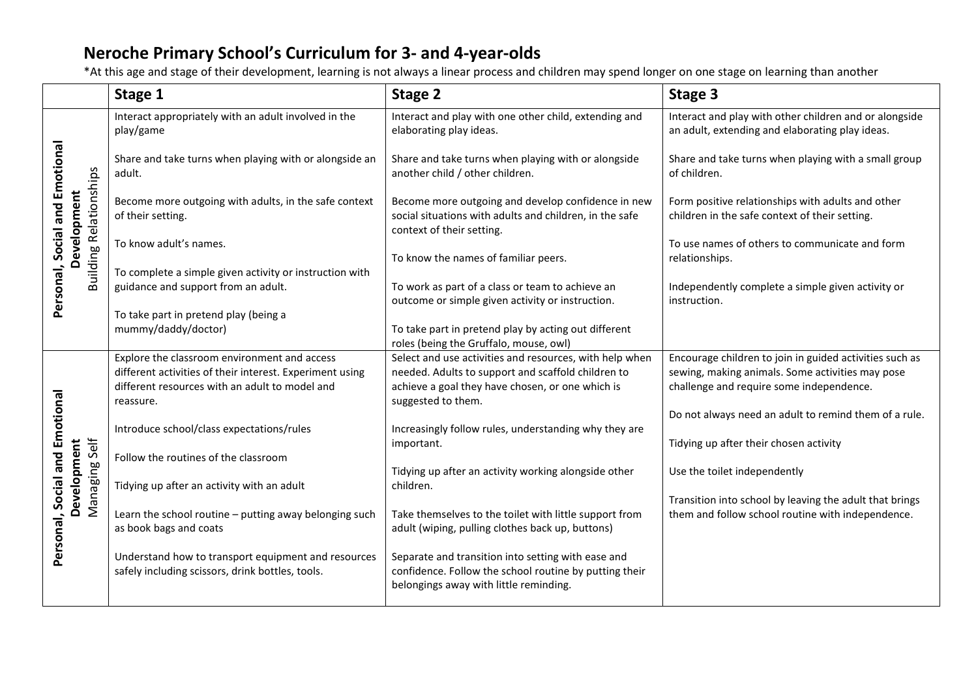|                                                                                | Stage 1                                                                                                  | Stage 2                                                                                                                                                | Stage 3                                                                                                      |
|--------------------------------------------------------------------------------|----------------------------------------------------------------------------------------------------------|--------------------------------------------------------------------------------------------------------------------------------------------------------|--------------------------------------------------------------------------------------------------------------|
|                                                                                | Interact appropriately with an adult involved in the<br>play/game                                        | Interact and play with one other child, extending and<br>elaborating play ideas.                                                                       | Interact and play with other children and or alongside<br>an adult, extending and elaborating play ideas.    |
| Personal, Social and Emotional<br><b>Building Relationships</b><br>Development | Share and take turns when playing with or alongside an<br>adult.                                         | Share and take turns when playing with or alongside<br>another child / other children.                                                                 | Share and take turns when playing with a small group<br>of children.                                         |
|                                                                                | Become more outgoing with adults, in the safe context<br>of their setting.                               | Become more outgoing and develop confidence in new<br>social situations with adults and children, in the safe<br>context of their setting.             | Form positive relationships with adults and other<br>children in the safe context of their setting.          |
|                                                                                | To know adult's names.                                                                                   | To know the names of familiar peers.                                                                                                                   | To use names of others to communicate and form<br>relationships.                                             |
|                                                                                | To complete a simple given activity or instruction with<br>guidance and support from an adult.           | To work as part of a class or team to achieve an<br>outcome or simple given activity or instruction.                                                   | Independently complete a simple given activity or<br>instruction.                                            |
|                                                                                | To take part in pretend play (being a<br>mummy/daddy/doctor)                                             | To take part in pretend play by acting out different<br>roles (being the Gruffalo, mouse, owl)                                                         |                                                                                                              |
| Personal, Social and Emotional<br>Managing Self<br>Development                 | Explore the classroom environment and access<br>different activities of their interest. Experiment using | Select and use activities and resources, with help when<br>needed. Adults to support and scaffold children to                                          | Encourage children to join in guided activities such as<br>sewing, making animals. Some activities may pose  |
|                                                                                | different resources with an adult to model and<br>reassure.                                              | achieve a goal they have chosen, or one which is<br>suggested to them.                                                                                 | challenge and require some independence.                                                                     |
|                                                                                | Introduce school/class expectations/rules                                                                | Increasingly follow rules, understanding why they are                                                                                                  | Do not always need an adult to remind them of a rule.                                                        |
|                                                                                | Follow the routines of the classroom                                                                     | important.<br>Tidying up after an activity working alongside other                                                                                     | Tidying up after their chosen activity<br>Use the toilet independently                                       |
|                                                                                | Tidying up after an activity with an adult                                                               | children.                                                                                                                                              |                                                                                                              |
|                                                                                | Learn the school routine - putting away belonging such<br>as book bags and coats                         | Take themselves to the toilet with little support from<br>adult (wiping, pulling clothes back up, buttons)                                             | Transition into school by leaving the adult that brings<br>them and follow school routine with independence. |
|                                                                                | Understand how to transport equipment and resources<br>safely including scissors, drink bottles, tools.  | Separate and transition into setting with ease and<br>confidence. Follow the school routine by putting their<br>belongings away with little reminding. |                                                                                                              |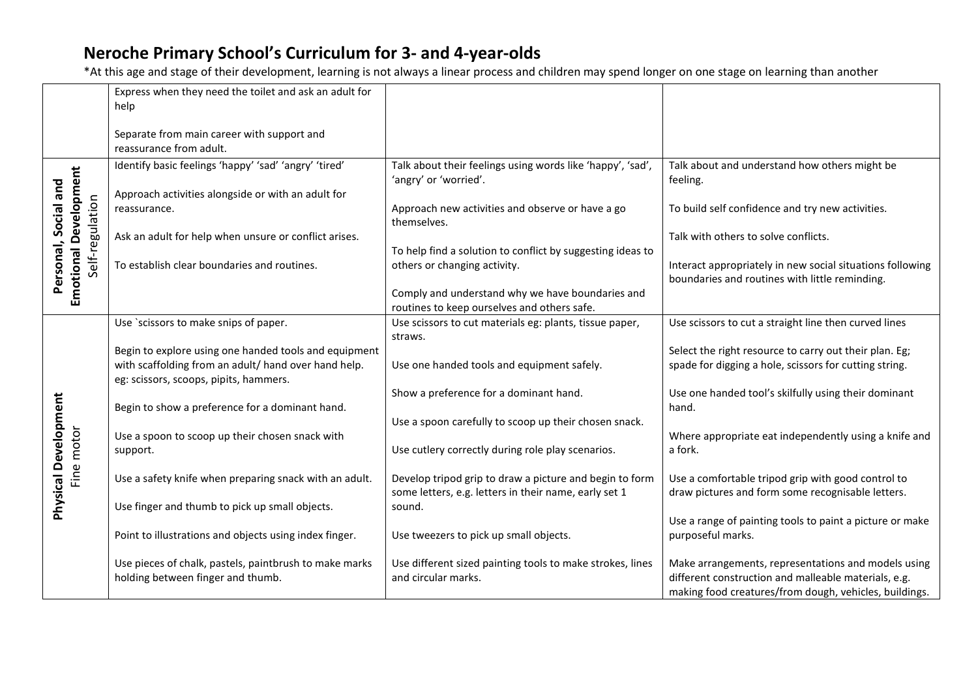|                                                                         | Express when they need the toilet and ask an adult for<br>help                                                                                          |                                                                                                                  |                                                                                                                                                                       |
|-------------------------------------------------------------------------|---------------------------------------------------------------------------------------------------------------------------------------------------------|------------------------------------------------------------------------------------------------------------------|-----------------------------------------------------------------------------------------------------------------------------------------------------------------------|
|                                                                         | Separate from main career with support and<br>reassurance from adult.                                                                                   |                                                                                                                  |                                                                                                                                                                       |
|                                                                         | Identify basic feelings 'happy' 'sad' 'angry' 'tired'                                                                                                   | Talk about their feelings using words like 'happy', 'sad',<br>'angry' or 'worried'.                              | Talk about and understand how others might be<br>feeling.                                                                                                             |
| <b>Emotional Development</b><br>Personal, Social and<br>Self-regulation | Approach activities alongside or with an adult for<br>reassurance.                                                                                      | Approach new activities and observe or have a go<br>themselves.                                                  | To build self confidence and try new activities.                                                                                                                      |
|                                                                         | Ask an adult for help when unsure or conflict arises.                                                                                                   |                                                                                                                  | Talk with others to solve conflicts.                                                                                                                                  |
|                                                                         | To establish clear boundaries and routines.                                                                                                             | To help find a solution to conflict by suggesting ideas to<br>others or changing activity.                       | Interact appropriately in new social situations following<br>boundaries and routines with little reminding.                                                           |
|                                                                         |                                                                                                                                                         | Comply and understand why we have boundaries and<br>routines to keep ourselves and others safe.                  |                                                                                                                                                                       |
|                                                                         | Use `scissors to make snips of paper.                                                                                                                   | Use scissors to cut materials eg: plants, tissue paper,                                                          | Use scissors to cut a straight line then curved lines                                                                                                                 |
|                                                                         | Begin to explore using one handed tools and equipment<br>with scaffolding from an adult/ hand over hand help.<br>eg: scissors, scoops, pipits, hammers. | straws.<br>Use one handed tools and equipment safely.                                                            | Select the right resource to carry out their plan. Eg;<br>spade for digging a hole, scissors for cutting string.                                                      |
|                                                                         | Begin to show a preference for a dominant hand.                                                                                                         | Show a preference for a dominant hand.                                                                           | Use one handed tool's skilfully using their dominant<br>hand.                                                                                                         |
|                                                                         |                                                                                                                                                         | Use a spoon carefully to scoop up their chosen snack.                                                            |                                                                                                                                                                       |
| <b>Physical Development</b><br>Fine motor                               | Use a spoon to scoop up their chosen snack with<br>support.                                                                                             | Use cutlery correctly during role play scenarios.                                                                | Where appropriate eat independently using a knife and<br>a fork.                                                                                                      |
|                                                                         | Use a safety knife when preparing snack with an adult.                                                                                                  | Develop tripod grip to draw a picture and begin to form<br>some letters, e.g. letters in their name, early set 1 | Use a comfortable tripod grip with good control to<br>draw pictures and form some recognisable letters.                                                               |
|                                                                         | Use finger and thumb to pick up small objects.                                                                                                          | sound.                                                                                                           | Use a range of painting tools to paint a picture or make                                                                                                              |
|                                                                         | Point to illustrations and objects using index finger.                                                                                                  | Use tweezers to pick up small objects.                                                                           | purposeful marks.                                                                                                                                                     |
|                                                                         | Use pieces of chalk, pastels, paintbrush to make marks<br>holding between finger and thumb.                                                             | Use different sized painting tools to make strokes, lines<br>and circular marks.                                 | Make arrangements, representations and models using<br>different construction and malleable materials, e.g.<br>making food creatures/from dough, vehicles, buildings. |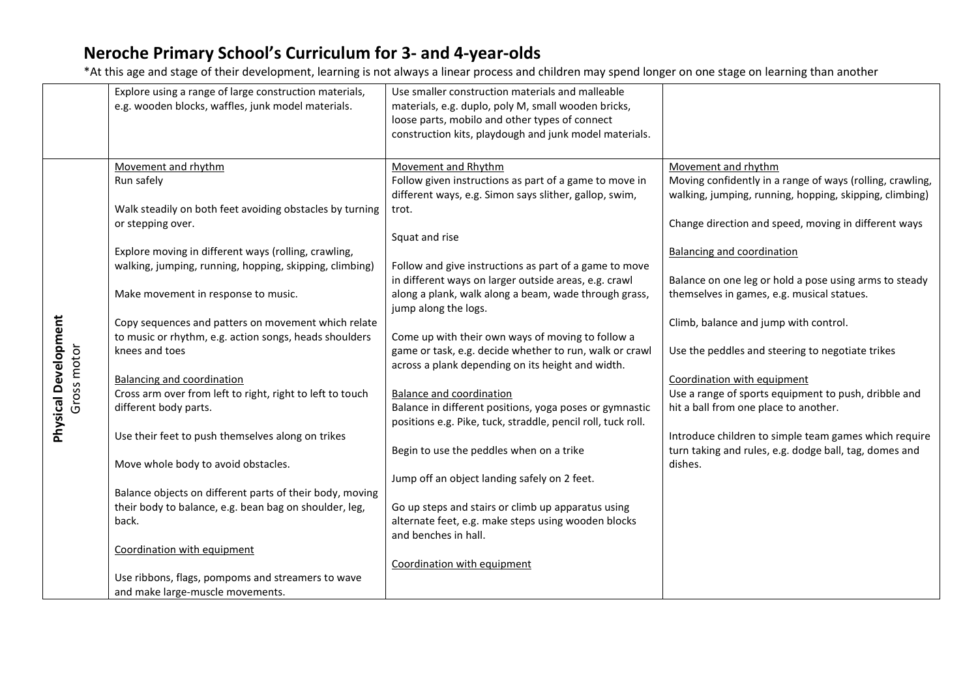|                                            | Explore using a range of large construction materials,<br>e.g. wooden blocks, waffles, junk model materials. | Use smaller construction materials and malleable<br>materials, e.g. duplo, poly M, small wooden bricks,<br>loose parts, mobilo and other types of connect<br>construction kits, playdough and junk model materials. |                                                           |
|--------------------------------------------|--------------------------------------------------------------------------------------------------------------|---------------------------------------------------------------------------------------------------------------------------------------------------------------------------------------------------------------------|-----------------------------------------------------------|
|                                            | Movement and rhythm                                                                                          | Movement and Rhythm                                                                                                                                                                                                 | Movement and rhythm                                       |
|                                            | Run safely                                                                                                   | Follow given instructions as part of a game to move in                                                                                                                                                              | Moving confidently in a range of ways (rolling, crawling, |
|                                            |                                                                                                              | different ways, e.g. Simon says slither, gallop, swim,                                                                                                                                                              | walking, jumping, running, hopping, skipping, climbing)   |
|                                            | Walk steadily on both feet avoiding obstacles by turning                                                     | trot.                                                                                                                                                                                                               |                                                           |
|                                            | or stepping over.                                                                                            |                                                                                                                                                                                                                     | Change direction and speed, moving in different ways      |
|                                            |                                                                                                              | Squat and rise                                                                                                                                                                                                      |                                                           |
|                                            | Explore moving in different ways (rolling, crawling,                                                         |                                                                                                                                                                                                                     | <b>Balancing and coordination</b>                         |
|                                            | walking, jumping, running, hopping, skipping, climbing)                                                      | Follow and give instructions as part of a game to move                                                                                                                                                              |                                                           |
|                                            |                                                                                                              | in different ways on larger outside areas, e.g. crawl                                                                                                                                                               | Balance on one leg or hold a pose using arms to steady    |
|                                            | Make movement in response to music.                                                                          | along a plank, walk along a beam, wade through grass,                                                                                                                                                               | themselves in games, e.g. musical statues.                |
|                                            |                                                                                                              | jump along the logs.                                                                                                                                                                                                |                                                           |
|                                            | Copy sequences and patters on movement which relate                                                          |                                                                                                                                                                                                                     | Climb, balance and jump with control.                     |
|                                            | to music or rhythm, e.g. action songs, heads shoulders                                                       | Come up with their own ways of moving to follow a                                                                                                                                                                   |                                                           |
|                                            | knees and toes                                                                                               | game or task, e.g. decide whether to run, walk or crawl                                                                                                                                                             | Use the peddles and steering to negotiate trikes          |
|                                            |                                                                                                              | across a plank depending on its height and width.                                                                                                                                                                   |                                                           |
| <b>Physical Development</b><br>Gross motor | <b>Balancing and coordination</b>                                                                            |                                                                                                                                                                                                                     | Coordination with equipment                               |
|                                            | Cross arm over from left to right, right to left to touch                                                    | <b>Balance and coordination</b>                                                                                                                                                                                     | Use a range of sports equipment to push, dribble and      |
|                                            | different body parts.                                                                                        | Balance in different positions, yoga poses or gymnastic                                                                                                                                                             | hit a ball from one place to another.                     |
|                                            |                                                                                                              | positions e.g. Pike, tuck, straddle, pencil roll, tuck roll.                                                                                                                                                        |                                                           |
|                                            | Use their feet to push themselves along on trikes                                                            |                                                                                                                                                                                                                     | Introduce children to simple team games which require     |
|                                            |                                                                                                              | Begin to use the peddles when on a trike                                                                                                                                                                            | turn taking and rules, e.g. dodge ball, tag, domes and    |
|                                            | Move whole body to avoid obstacles.                                                                          |                                                                                                                                                                                                                     | dishes.                                                   |
|                                            |                                                                                                              | Jump off an object landing safely on 2 feet.                                                                                                                                                                        |                                                           |
|                                            | Balance objects on different parts of their body, moving                                                     |                                                                                                                                                                                                                     |                                                           |
|                                            | their body to balance, e.g. bean bag on shoulder, leg,                                                       | Go up steps and stairs or climb up apparatus using                                                                                                                                                                  |                                                           |
|                                            | back.                                                                                                        | alternate feet, e.g. make steps using wooden blocks                                                                                                                                                                 |                                                           |
|                                            |                                                                                                              | and benches in hall.                                                                                                                                                                                                |                                                           |
|                                            | Coordination with equipment                                                                                  |                                                                                                                                                                                                                     |                                                           |
|                                            |                                                                                                              | Coordination with equipment                                                                                                                                                                                         |                                                           |
|                                            | Use ribbons, flags, pompoms and streamers to wave                                                            |                                                                                                                                                                                                                     |                                                           |
|                                            | and make large-muscle movements.                                                                             |                                                                                                                                                                                                                     |                                                           |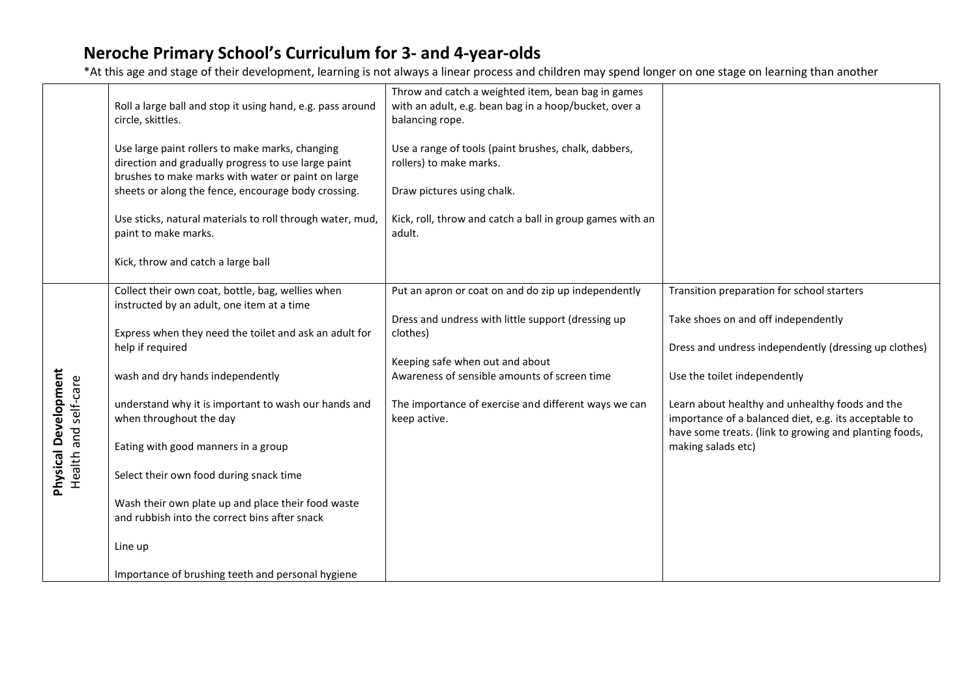|                                                     |                                                                                                     | Throw and catch a weighted item, bean bag in games        |                                                                              |
|-----------------------------------------------------|-----------------------------------------------------------------------------------------------------|-----------------------------------------------------------|------------------------------------------------------------------------------|
|                                                     | Roll a large ball and stop it using hand, e.g. pass around                                          | with an adult, e.g. bean bag in a hoop/bucket, over a     |                                                                              |
|                                                     | circle, skittles.                                                                                   | balancing rope.                                           |                                                                              |
|                                                     | Use large paint rollers to make marks, changing                                                     | Use a range of tools (paint brushes, chalk, dabbers,      |                                                                              |
|                                                     | direction and gradually progress to use large paint                                                 | rollers) to make marks.                                   |                                                                              |
|                                                     | brushes to make marks with water or paint on large                                                  |                                                           |                                                                              |
|                                                     | sheets or along the fence, encourage body crossing.                                                 | Draw pictures using chalk.                                |                                                                              |
|                                                     | Use sticks, natural materials to roll through water, mud,                                           | Kick, roll, throw and catch a ball in group games with an |                                                                              |
|                                                     | paint to make marks.                                                                                | adult.                                                    |                                                                              |
|                                                     |                                                                                                     |                                                           |                                                                              |
|                                                     | Kick, throw and catch a large ball                                                                  |                                                           |                                                                              |
|                                                     | Collect their own coat, bottle, bag, wellies when                                                   | Put an apron or coat on and do zip up independently       | Transition preparation for school starters                                   |
|                                                     | instructed by an adult, one item at a time                                                          |                                                           |                                                                              |
|                                                     |                                                                                                     | Dress and undress with little support (dressing up        | Take shoes on and off independently                                          |
|                                                     | Express when they need the toilet and ask an adult for                                              | clothes)                                                  | Dress and undress independently (dressing up clothes)                        |
|                                                     | help if required                                                                                    | Keeping safe when out and about                           |                                                                              |
|                                                     | wash and dry hands independently                                                                    | Awareness of sensible amounts of screen time              | Use the toilet independently                                                 |
|                                                     |                                                                                                     |                                                           |                                                                              |
|                                                     | understand why it is important to wash our hands and                                                | The importance of exercise and different ways we can      | Learn about healthy and unhealthy foods and the                              |
|                                                     | when throughout the day                                                                             | keep active.                                              | importance of a balanced diet, e.g. its acceptable to                        |
|                                                     | Eating with good manners in a group                                                                 |                                                           | have some treats. (link to growing and planting foods,<br>making salads etc) |
|                                                     |                                                                                                     |                                                           |                                                                              |
| <b>Physical Development</b><br>Health and self-care | Select their own food during snack time                                                             |                                                           |                                                                              |
|                                                     |                                                                                                     |                                                           |                                                                              |
|                                                     | Wash their own plate up and place their food waste<br>and rubbish into the correct bins after snack |                                                           |                                                                              |
|                                                     |                                                                                                     |                                                           |                                                                              |
|                                                     | Line up                                                                                             |                                                           |                                                                              |
|                                                     |                                                                                                     |                                                           |                                                                              |
|                                                     | Importance of brushing teeth and personal hygiene                                                   |                                                           |                                                                              |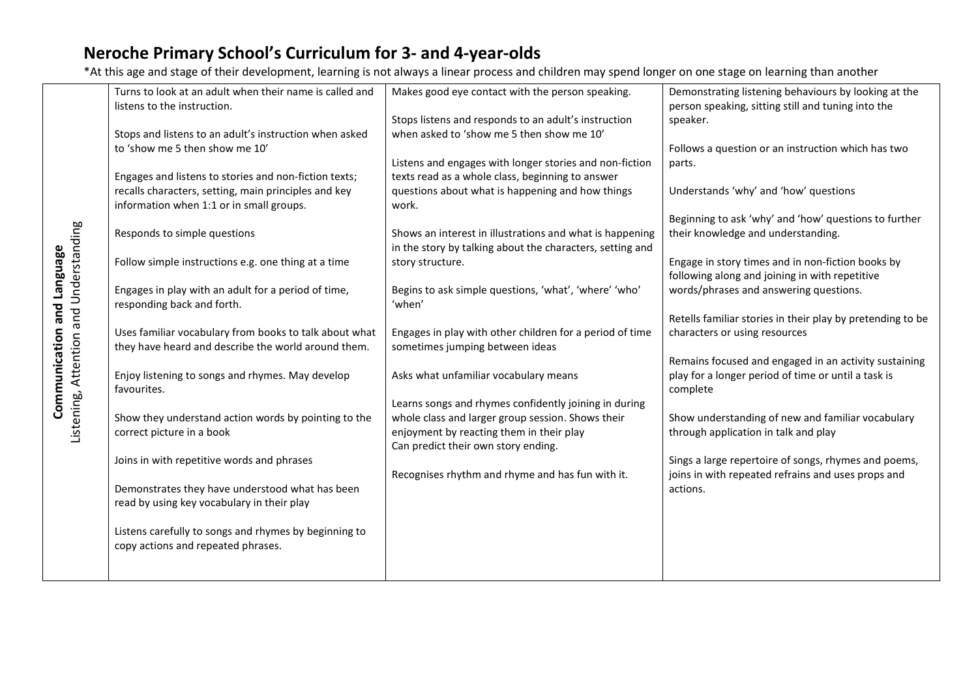|                                                                      | Turns to look at an adult when their name is called and | Makes good eye contact with the person speaking.          | Demonstrating listening behaviours by looking at the       |
|----------------------------------------------------------------------|---------------------------------------------------------|-----------------------------------------------------------|------------------------------------------------------------|
|                                                                      | listens to the instruction.                             |                                                           | person speaking, sitting still and tuning into the         |
|                                                                      |                                                         | Stops listens and responds to an adult's instruction      | speaker.                                                   |
|                                                                      | Stops and listens to an adult's instruction when asked  | when asked to 'show me 5 then show me 10'                 |                                                            |
|                                                                      | to 'show me 5 then show me 10'                          |                                                           | Follows a question or an instruction which has two         |
|                                                                      |                                                         | Listens and engages with longer stories and non-fiction   | parts.                                                     |
|                                                                      | Engages and listens to stories and non-fiction texts;   | texts read as a whole class, beginning to answer          |                                                            |
|                                                                      | recalls characters, setting, main principles and key    | questions about what is happening and how things          | Understands 'why' and 'how' questions                      |
|                                                                      | information when 1:1 or in small groups.                | work.                                                     |                                                            |
|                                                                      |                                                         |                                                           | Beginning to ask 'why' and 'how' questions to further      |
|                                                                      |                                                         |                                                           |                                                            |
|                                                                      | Responds to simple questions                            | Shows an interest in illustrations and what is happening  | their knowledge and understanding.                         |
|                                                                      |                                                         | in the story by talking about the characters, setting and |                                                            |
|                                                                      | Follow simple instructions e.g. one thing at a time     | story structure.                                          | Engage in story times and in non-fiction books by          |
|                                                                      |                                                         |                                                           | following along and joining in with repetitive             |
|                                                                      | Engages in play with an adult for a period of time,     | Begins to ask simple questions, 'what', 'where' 'who'     | words/phrases and answering questions.                     |
| Listening, Attention and Understanding<br>Communication and Language | responding back and forth.                              | 'when'                                                    |                                                            |
|                                                                      |                                                         |                                                           | Retells familiar stories in their play by pretending to be |
|                                                                      | Uses familiar vocabulary from books to talk about what  | Engages in play with other children for a period of time  | characters or using resources                              |
|                                                                      | they have heard and describe the world around them.     | sometimes jumping between ideas                           |                                                            |
|                                                                      |                                                         |                                                           | Remains focused and engaged in an activity sustaining      |
|                                                                      | Enjoy listening to songs and rhymes. May develop        | Asks what unfamiliar vocabulary means                     | play for a longer period of time or until a task is        |
|                                                                      | favourites.                                             |                                                           | complete                                                   |
|                                                                      |                                                         | Learns songs and rhymes confidently joining in during     |                                                            |
|                                                                      | Show they understand action words by pointing to the    | whole class and larger group session. Shows their         | Show understanding of new and familiar vocabulary          |
|                                                                      | correct picture in a book                               | enjoyment by reacting them in their play                  | through application in talk and play                       |
|                                                                      |                                                         | Can predict their own story ending.                       |                                                            |
|                                                                      | Joins in with repetitive words and phrases              |                                                           | Sings a large repertoire of songs, rhymes and poems,       |
|                                                                      |                                                         | Recognises rhythm and rhyme and has fun with it.          | joins in with repeated refrains and uses props and         |
|                                                                      |                                                         |                                                           |                                                            |
|                                                                      | Demonstrates they have understood what has been         |                                                           | actions.                                                   |
|                                                                      | read by using key vocabulary in their play              |                                                           |                                                            |
|                                                                      |                                                         |                                                           |                                                            |
|                                                                      | Listens carefully to songs and rhymes by beginning to   |                                                           |                                                            |
|                                                                      | copy actions and repeated phrases.                      |                                                           |                                                            |
|                                                                      |                                                         |                                                           |                                                            |
|                                                                      |                                                         |                                                           |                                                            |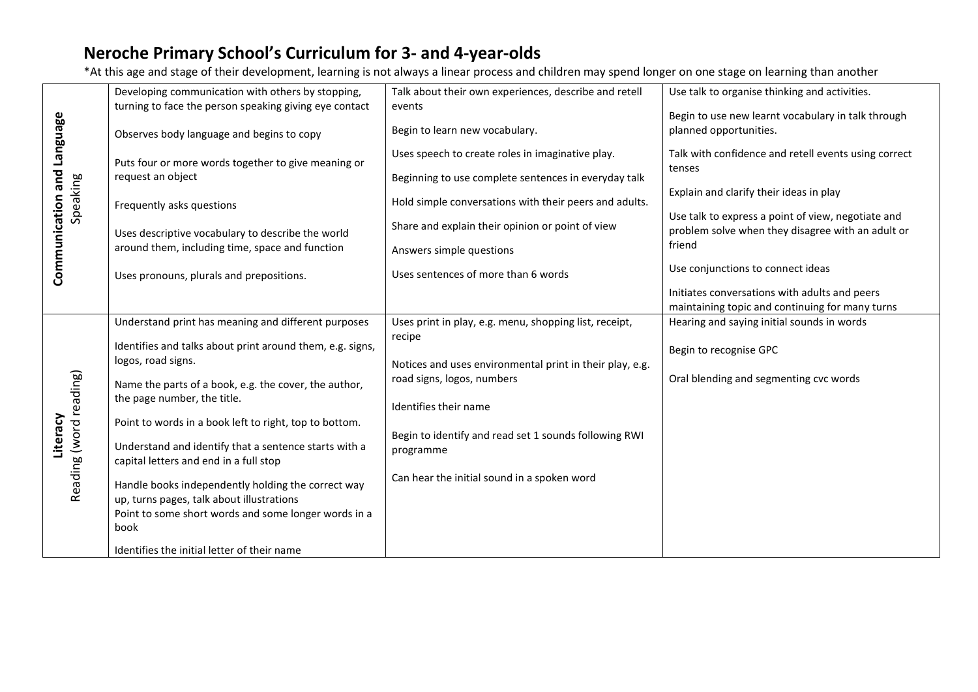| <b>Fangue</b>          | Developing communication with others by stopping,<br>turning to face the person speaking giving eye contact | Talk about their own experiences, describe and retell<br>events  | Use talk to organise thinking and activities.                                                           |
|------------------------|-------------------------------------------------------------------------------------------------------------|------------------------------------------------------------------|---------------------------------------------------------------------------------------------------------|
|                        |                                                                                                             |                                                                  | Begin to use new learnt vocabulary in talk through                                                      |
|                        | Observes body language and begins to copy                                                                   | Begin to learn new vocabulary.                                   | planned opportunities.                                                                                  |
|                        | Puts four or more words together to give meaning or                                                         | Uses speech to create roles in imaginative play.                 | Talk with confidence and retell events using correct                                                    |
| and                    | request an object                                                                                           | Beginning to use complete sentences in everyday talk             | tenses                                                                                                  |
| Speaking               | Frequently asks questions                                                                                   | Hold simple conversations with their peers and adults.           | Explain and clarify their ideas in play                                                                 |
|                        |                                                                                                             | Share and explain their opinion or point of view                 | Use talk to express a point of view, negotiate and<br>problem solve when they disagree with an adult or |
|                        | Uses descriptive vocabulary to describe the world<br>around them, including time, space and function        | Answers simple questions                                         | friend                                                                                                  |
| Communication          | Uses pronouns, plurals and prepositions.                                                                    | Uses sentences of more than 6 words                              | Use conjunctions to connect ideas                                                                       |
|                        |                                                                                                             |                                                                  | Initiates conversations with adults and peers                                                           |
|                        |                                                                                                             |                                                                  | maintaining topic and continuing for many turns                                                         |
|                        | Understand print has meaning and different purposes                                                         | Uses print in play, e.g. menu, shopping list, receipt,<br>recipe | Hearing and saying initial sounds in words                                                              |
|                        | Identifies and talks about print around them, e.g. signs,                                                   |                                                                  | Begin to recognise GPC                                                                                  |
|                        | logos, road signs.                                                                                          | Notices and uses environmental print in their play, e.g.         |                                                                                                         |
|                        |                                                                                                             | road signs, logos, numbers                                       | Oral blending and segmenting cvc words                                                                  |
|                        | Name the parts of a book, e.g. the cover, the author,                                                       |                                                                  |                                                                                                         |
|                        | the page number, the title.                                                                                 | Identifies their name                                            |                                                                                                         |
|                        |                                                                                                             |                                                                  |                                                                                                         |
|                        | Point to words in a book left to right, top to bottom.                                                      |                                                                  |                                                                                                         |
| Literacy               | Understand and identify that a sentence starts with a                                                       | Begin to identify and read set 1 sounds following RWI            |                                                                                                         |
|                        |                                                                                                             | programme                                                        |                                                                                                         |
|                        | capital letters and end in a full stop                                                                      |                                                                  |                                                                                                         |
| Reading (word reading) | Handle books independently holding the correct way                                                          | Can hear the initial sound in a spoken word                      |                                                                                                         |
|                        | up, turns pages, talk about illustrations                                                                   |                                                                  |                                                                                                         |
|                        | Point to some short words and some longer words in a                                                        |                                                                  |                                                                                                         |
|                        | book                                                                                                        |                                                                  |                                                                                                         |
|                        |                                                                                                             |                                                                  |                                                                                                         |
|                        | Identifies the initial letter of their name                                                                 |                                                                  |                                                                                                         |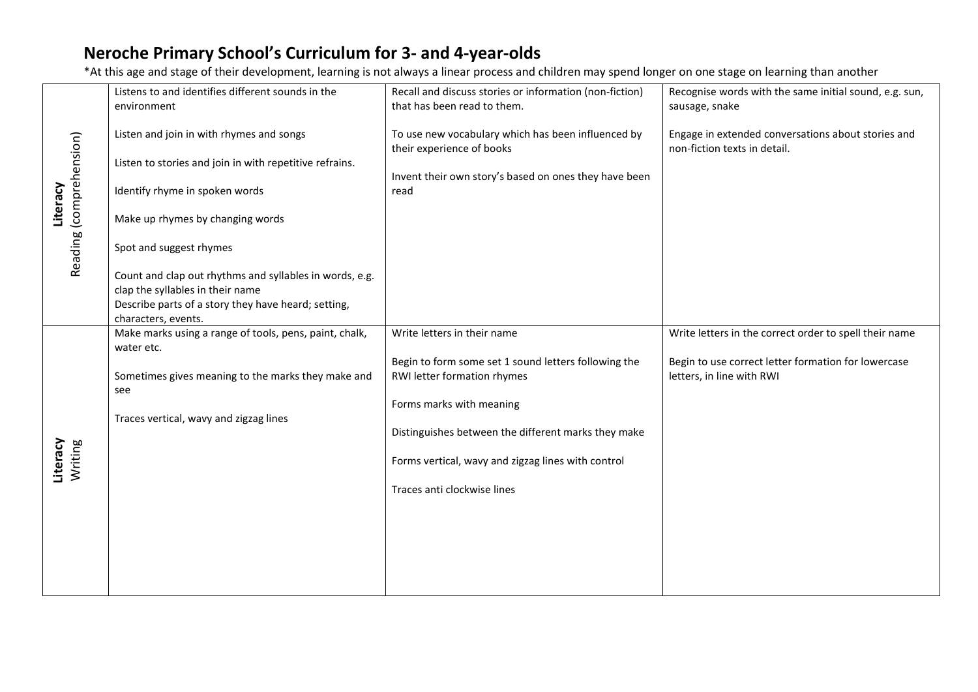|                                     | Listens to and identifies different sounds in the                    |                                                                                 |                                                                                    |
|-------------------------------------|----------------------------------------------------------------------|---------------------------------------------------------------------------------|------------------------------------------------------------------------------------|
|                                     |                                                                      | Recall and discuss stories or information (non-fiction)                         | Recognise words with the same initial sound, e.g. sun,                             |
|                                     | environment                                                          | that has been read to them.                                                     | sausage, snake                                                                     |
|                                     | Listen and join in with rhymes and songs                             | To use new vocabulary which has been influenced by<br>their experience of books | Engage in extended conversations about stories and<br>non-fiction texts in detail. |
|                                     | Listen to stories and join in with repetitive refrains.              |                                                                                 |                                                                                    |
| Reading (comprehension)<br>Literacy | Identify rhyme in spoken words                                       | Invent their own story's based on ones they have been<br>read                   |                                                                                    |
|                                     | Make up rhymes by changing words                                     |                                                                                 |                                                                                    |
|                                     | Spot and suggest rhymes                                              |                                                                                 |                                                                                    |
|                                     | Count and clap out rhythms and syllables in words, e.g.              |                                                                                 |                                                                                    |
|                                     | clap the syllables in their name                                     |                                                                                 |                                                                                    |
|                                     | Describe parts of a story they have heard; setting,                  |                                                                                 |                                                                                    |
|                                     | characters, events.                                                  |                                                                                 |                                                                                    |
|                                     | Make marks using a range of tools, pens, paint, chalk,<br>water etc. | Write letters in their name                                                     | Write letters in the correct order to spell their name                             |
|                                     |                                                                      | Begin to form some set 1 sound letters following the                            | Begin to use correct letter formation for lowercase                                |
|                                     | Sometimes gives meaning to the marks they make and<br>see            | RWI letter formation rhymes                                                     | letters, in line with RWI                                                          |
|                                     |                                                                      | Forms marks with meaning                                                        |                                                                                    |
|                                     | Traces vertical, wavy and zigzag lines                               |                                                                                 |                                                                                    |
|                                     |                                                                      | Distinguishes between the different marks they make                             |                                                                                    |
| Writing<br>Literacy                 |                                                                      | Forms vertical, wavy and zigzag lines with control                              |                                                                                    |
|                                     |                                                                      | Traces anti clockwise lines                                                     |                                                                                    |
|                                     |                                                                      |                                                                                 |                                                                                    |
|                                     |                                                                      |                                                                                 |                                                                                    |
|                                     |                                                                      |                                                                                 |                                                                                    |
|                                     |                                                                      |                                                                                 |                                                                                    |
|                                     |                                                                      |                                                                                 |                                                                                    |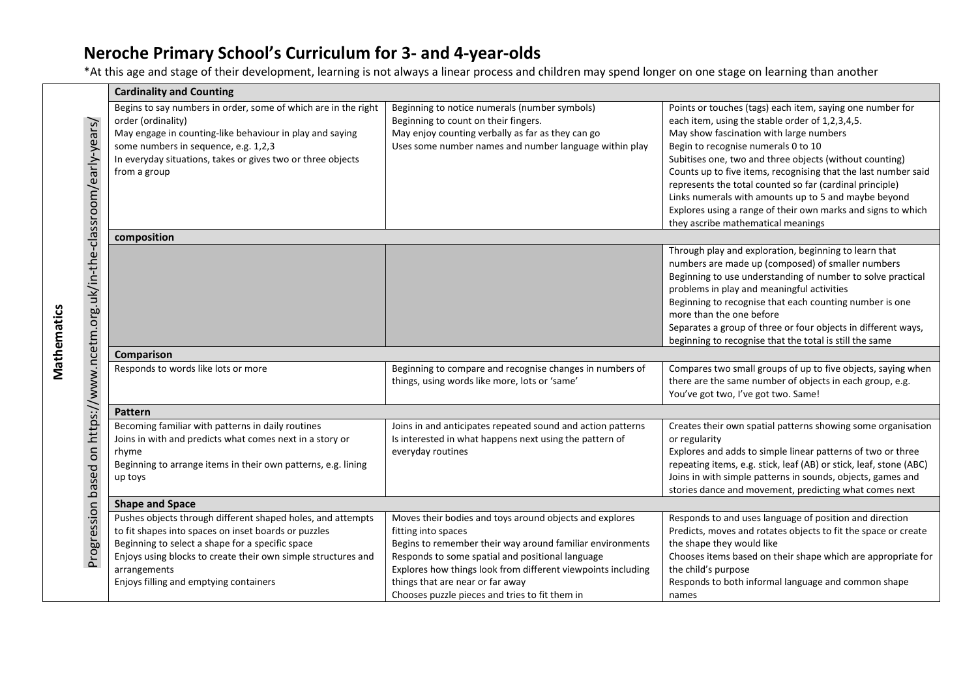Mathematics

**Mathematics** 

|                                                                             | <b>Cardinality and Counting</b>                                                                                                                                                                                                                                                                    |                                                                                                                                                                                                                                                                                                                                                       |                                                                                                                                                                                                                                                                                                                                                                                                                                                                                                                                                       |  |  |  |
|-----------------------------------------------------------------------------|----------------------------------------------------------------------------------------------------------------------------------------------------------------------------------------------------------------------------------------------------------------------------------------------------|-------------------------------------------------------------------------------------------------------------------------------------------------------------------------------------------------------------------------------------------------------------------------------------------------------------------------------------------------------|-------------------------------------------------------------------------------------------------------------------------------------------------------------------------------------------------------------------------------------------------------------------------------------------------------------------------------------------------------------------------------------------------------------------------------------------------------------------------------------------------------------------------------------------------------|--|--|--|
| Progression based on https://www.ncetm.org.uk/in-the-classroom/early-years/ | Begins to say numbers in order, some of which are in the right<br>order (ordinality)<br>May engage in counting-like behaviour in play and saying<br>some numbers in sequence, e.g. 1,2,3<br>In everyday situations, takes or gives two or three objects<br>from a group                            | Beginning to notice numerals (number symbols)<br>Beginning to count on their fingers.<br>May enjoy counting verbally as far as they can go<br>Uses some number names and number language within play                                                                                                                                                  | Points or touches (tags) each item, saying one number for<br>each item, using the stable order of 1,2,3,4,5.<br>May show fascination with large numbers<br>Begin to recognise numerals 0 to 10<br>Subitises one, two and three objects (without counting)<br>Counts up to five items, recognising that the last number said<br>represents the total counted so far (cardinal principle)<br>Links numerals with amounts up to 5 and maybe beyond<br>Explores using a range of their own marks and signs to which<br>they ascribe mathematical meanings |  |  |  |
|                                                                             | composition                                                                                                                                                                                                                                                                                        |                                                                                                                                                                                                                                                                                                                                                       |                                                                                                                                                                                                                                                                                                                                                                                                                                                                                                                                                       |  |  |  |
|                                                                             |                                                                                                                                                                                                                                                                                                    |                                                                                                                                                                                                                                                                                                                                                       | Through play and exploration, beginning to learn that<br>numbers are made up (composed) of smaller numbers<br>Beginning to use understanding of number to solve practical<br>problems in play and meaningful activities<br>Beginning to recognise that each counting number is one<br>more than the one before<br>Separates a group of three or four objects in different ways,<br>beginning to recognise that the total is still the same                                                                                                            |  |  |  |
|                                                                             | Comparison                                                                                                                                                                                                                                                                                         |                                                                                                                                                                                                                                                                                                                                                       |                                                                                                                                                                                                                                                                                                                                                                                                                                                                                                                                                       |  |  |  |
|                                                                             | Responds to words like lots or more                                                                                                                                                                                                                                                                | Beginning to compare and recognise changes in numbers of<br>things, using words like more, lots or 'same'                                                                                                                                                                                                                                             | Compares two small groups of up to five objects, saying when<br>there are the same number of objects in each group, e.g.<br>You've got two, I've got two. Same!                                                                                                                                                                                                                                                                                                                                                                                       |  |  |  |
|                                                                             | <b>Pattern</b>                                                                                                                                                                                                                                                                                     |                                                                                                                                                                                                                                                                                                                                                       |                                                                                                                                                                                                                                                                                                                                                                                                                                                                                                                                                       |  |  |  |
|                                                                             | Becoming familiar with patterns in daily routines<br>Joins in with and predicts what comes next in a story or<br>rhyme<br>Beginning to arrange items in their own patterns, e.g. lining<br>up toys                                                                                                 | Joins in and anticipates repeated sound and action patterns<br>Is interested in what happens next using the pattern of<br>everyday routines                                                                                                                                                                                                           | Creates their own spatial patterns showing some organisation<br>or regularity<br>Explores and adds to simple linear patterns of two or three<br>repeating items, e.g. stick, leaf (AB) or stick, leaf, stone (ABC)<br>Joins in with simple patterns in sounds, objects, games and<br>stories dance and movement, predicting what comes next                                                                                                                                                                                                           |  |  |  |
|                                                                             | <b>Shape and Space</b>                                                                                                                                                                                                                                                                             |                                                                                                                                                                                                                                                                                                                                                       |                                                                                                                                                                                                                                                                                                                                                                                                                                                                                                                                                       |  |  |  |
|                                                                             | Pushes objects through different shaped holes, and attempts<br>to fit shapes into spaces on inset boards or puzzles<br>Beginning to select a shape for a specific space<br>Enjoys using blocks to create their own simple structures and<br>arrangements<br>Enjoys filling and emptying containers | Moves their bodies and toys around objects and explores<br>fitting into spaces<br>Begins to remember their way around familiar environments<br>Responds to some spatial and positional language<br>Explores how things look from different viewpoints including<br>things that are near or far away<br>Chooses puzzle pieces and tries to fit them in | Responds to and uses language of position and direction<br>Predicts, moves and rotates objects to fit the space or create<br>the shape they would like<br>Chooses items based on their shape which are appropriate for<br>the child's purpose<br>Responds to both informal language and common shape<br>names                                                                                                                                                                                                                                         |  |  |  |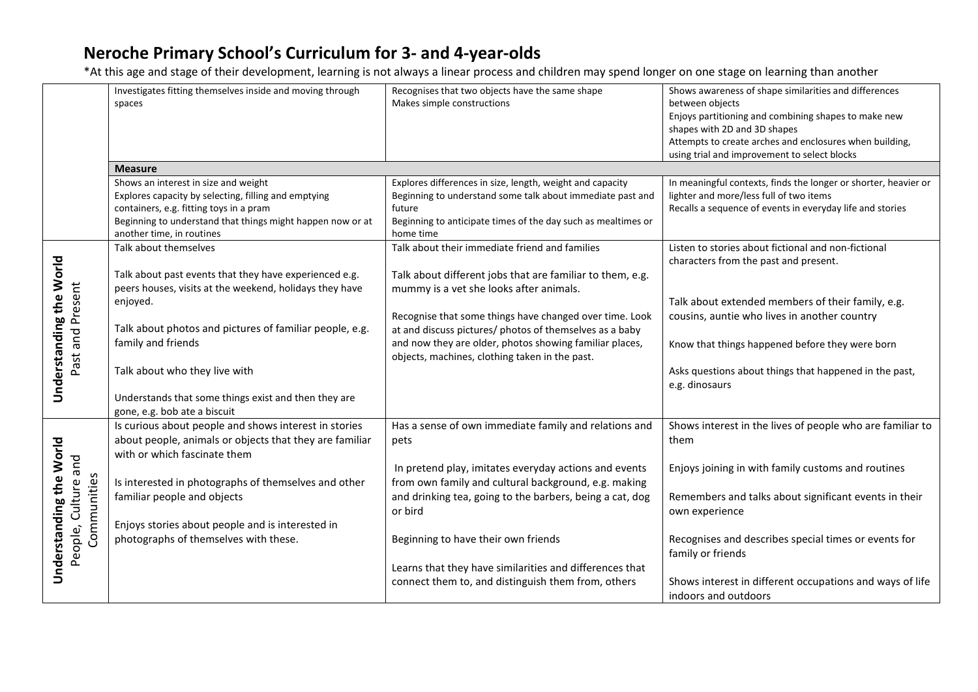|                                                               | Investigates fitting themselves inside and moving through<br>spaces                                                                                                                                                                | Recognises that two objects have the same shape<br>Makes simple constructions                                                                                                                                   | Shows awareness of shape similarities and differences<br>between objects<br>Enjoys partitioning and combining shapes to make new<br>shapes with 2D and 3D shapes<br>Attempts to create arches and enclosures when building,<br>using trial and improvement to select blocks |
|---------------------------------------------------------------|------------------------------------------------------------------------------------------------------------------------------------------------------------------------------------------------------------------------------------|-----------------------------------------------------------------------------------------------------------------------------------------------------------------------------------------------------------------|-----------------------------------------------------------------------------------------------------------------------------------------------------------------------------------------------------------------------------------------------------------------------------|
|                                                               | <b>Measure</b>                                                                                                                                                                                                                     |                                                                                                                                                                                                                 |                                                                                                                                                                                                                                                                             |
|                                                               | Shows an interest in size and weight<br>Explores capacity by selecting, filling and emptying<br>containers, e.g. fitting toys in a pram<br>Beginning to understand that things might happen now or at<br>another time, in routines | Explores differences in size, length, weight and capacity<br>Beginning to understand some talk about immediate past and<br>future<br>Beginning to anticipate times of the day such as mealtimes or<br>home time | In meaningful contexts, finds the longer or shorter, heavier or<br>lighter and more/less full of two items<br>Recalls a sequence of events in everyday life and stories                                                                                                     |
|                                                               | Talk about themselves                                                                                                                                                                                                              | Talk about their immediate friend and families                                                                                                                                                                  | Listen to stories about fictional and non-fictional                                                                                                                                                                                                                         |
|                                                               | Talk about past events that they have experienced e.g.<br>peers houses, visits at the weekend, holidays they have<br>enjoyed.                                                                                                      | Talk about different jobs that are familiar to them, e.g.<br>mummy is a vet she looks after animals.<br>Recognise that some things have changed over time. Look                                                 | characters from the past and present.<br>Talk about extended members of their family, e.g.<br>cousins, auntie who lives in another country                                                                                                                                  |
| Understanding the World<br>Past and Present                   | Talk about photos and pictures of familiar people, e.g.<br>family and friends                                                                                                                                                      | at and discuss pictures/ photos of themselves as a baby<br>and now they are older, photos showing familiar places,<br>objects, machines, clothing taken in the past.                                            | Know that things happened before they were born                                                                                                                                                                                                                             |
|                                                               | Talk about who they live with                                                                                                                                                                                                      |                                                                                                                                                                                                                 | Asks questions about things that happened in the past,<br>e.g. dinosaurs                                                                                                                                                                                                    |
|                                                               | Understands that some things exist and then they are<br>gone, e.g. bob ate a biscuit                                                                                                                                               |                                                                                                                                                                                                                 |                                                                                                                                                                                                                                                                             |
|                                                               | Is curious about people and shows interest in stories<br>about people, animals or objects that they are familiar<br>with or which fascinate them                                                                                   | Has a sense of own immediate family and relations and<br>pets                                                                                                                                                   | Shows interest in the lives of people who are familiar to<br>them                                                                                                                                                                                                           |
| Understanding the World<br>People, Culture and<br>Communities | Is interested in photographs of themselves and other<br>familiar people and objects                                                                                                                                                | In pretend play, imitates everyday actions and events<br>from own family and cultural background, e.g. making<br>and drinking tea, going to the barbers, being a cat, dog                                       | Enjoys joining in with family customs and routines<br>Remembers and talks about significant events in their                                                                                                                                                                 |
|                                                               | Enjoys stories about people and is interested in                                                                                                                                                                                   | or bird                                                                                                                                                                                                         | own experience                                                                                                                                                                                                                                                              |
|                                                               | photographs of themselves with these.                                                                                                                                                                                              | Beginning to have their own friends                                                                                                                                                                             | Recognises and describes special times or events for<br>family or friends                                                                                                                                                                                                   |
|                                                               |                                                                                                                                                                                                                                    | Learns that they have similarities and differences that                                                                                                                                                         |                                                                                                                                                                                                                                                                             |
|                                                               |                                                                                                                                                                                                                                    | connect them to, and distinguish them from, others                                                                                                                                                              | Shows interest in different occupations and ways of life<br>indoors and outdoors                                                                                                                                                                                            |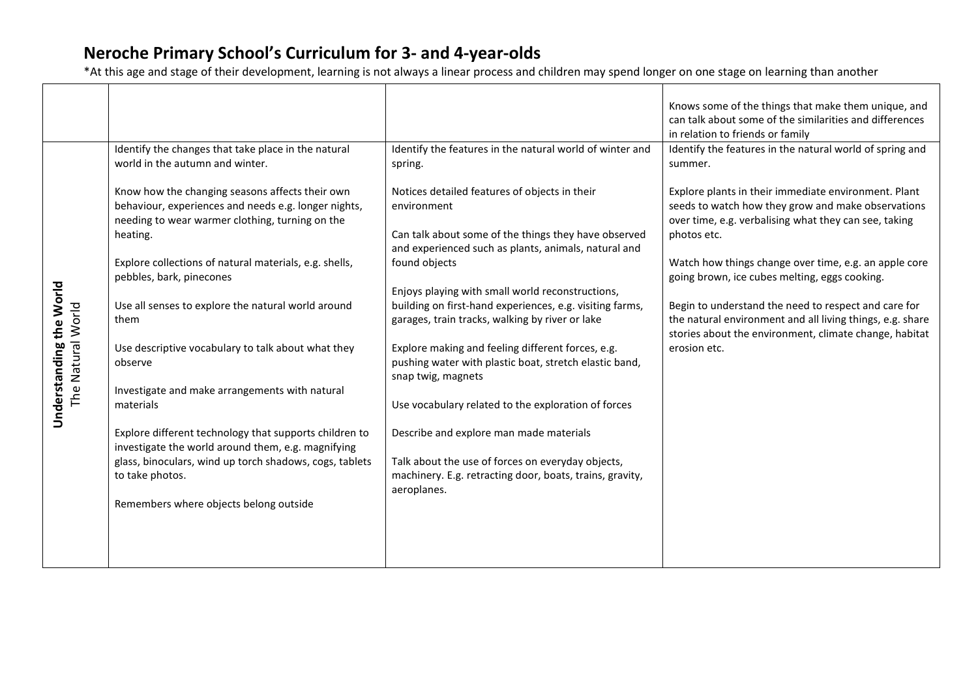|                         |                                                                            |                                                                                                               | Knows some of the things that make them unique, and                                                                 |
|-------------------------|----------------------------------------------------------------------------|---------------------------------------------------------------------------------------------------------------|---------------------------------------------------------------------------------------------------------------------|
|                         |                                                                            |                                                                                                               | can talk about some of the similarities and differences                                                             |
|                         |                                                                            |                                                                                                               | in relation to friends or family                                                                                    |
|                         | Identify the changes that take place in the natural                        | Identify the features in the natural world of winter and                                                      | Identify the features in the natural world of spring and                                                            |
|                         | world in the autumn and winter.                                            | spring.                                                                                                       | summer.                                                                                                             |
|                         | Know how the changing seasons affects their own                            | Notices detailed features of objects in their                                                                 | Explore plants in their immediate environment. Plant                                                                |
|                         | behaviour, experiences and needs e.g. longer nights,                       | environment                                                                                                   | seeds to watch how they grow and make observations                                                                  |
|                         | needing to wear warmer clothing, turning on the                            |                                                                                                               | over time, e.g. verbalising what they can see, taking                                                               |
|                         | heating.                                                                   | Can talk about some of the things they have observed<br>and experienced such as plants, animals, natural and  | photos etc.                                                                                                         |
|                         | Explore collections of natural materials, e.g. shells,                     | found objects                                                                                                 | Watch how things change over time, e.g. an apple core                                                               |
|                         | pebbles, bark, pinecones                                                   |                                                                                                               | going brown, ice cubes melting, eggs cooking.                                                                       |
|                         |                                                                            | Enjoys playing with small world reconstructions,                                                              |                                                                                                                     |
|                         | Use all senses to explore the natural world around<br>them                 | building on first-hand experiences, e.g. visiting farms,                                                      | Begin to understand the need to respect and care for                                                                |
|                         |                                                                            | garages, train tracks, walking by river or lake                                                               | the natural environment and all living things, e.g. share<br>stories about the environment, climate change, habitat |
|                         | Use descriptive vocabulary to talk about what they                         | Explore making and feeling different forces, e.g.                                                             | erosion etc.                                                                                                        |
| The Natural World       | observe                                                                    | pushing water with plastic boat, stretch elastic band,                                                        |                                                                                                                     |
|                         |                                                                            | snap twig, magnets                                                                                            |                                                                                                                     |
|                         | Investigate and make arrangements with natural<br>materials                | Use vocabulary related to the exploration of forces                                                           |                                                                                                                     |
| Understanding the World |                                                                            |                                                                                                               |                                                                                                                     |
|                         | Explore different technology that supports children to                     | Describe and explore man made materials                                                                       |                                                                                                                     |
|                         | investigate the world around them, e.g. magnifying                         |                                                                                                               |                                                                                                                     |
|                         | glass, binoculars, wind up torch shadows, cogs, tablets<br>to take photos. | Talk about the use of forces on everyday objects,<br>machinery. E.g. retracting door, boats, trains, gravity, |                                                                                                                     |
|                         |                                                                            | aeroplanes.                                                                                                   |                                                                                                                     |
|                         | Remembers where objects belong outside                                     |                                                                                                               |                                                                                                                     |
|                         |                                                                            |                                                                                                               |                                                                                                                     |
|                         |                                                                            |                                                                                                               |                                                                                                                     |
|                         |                                                                            |                                                                                                               |                                                                                                                     |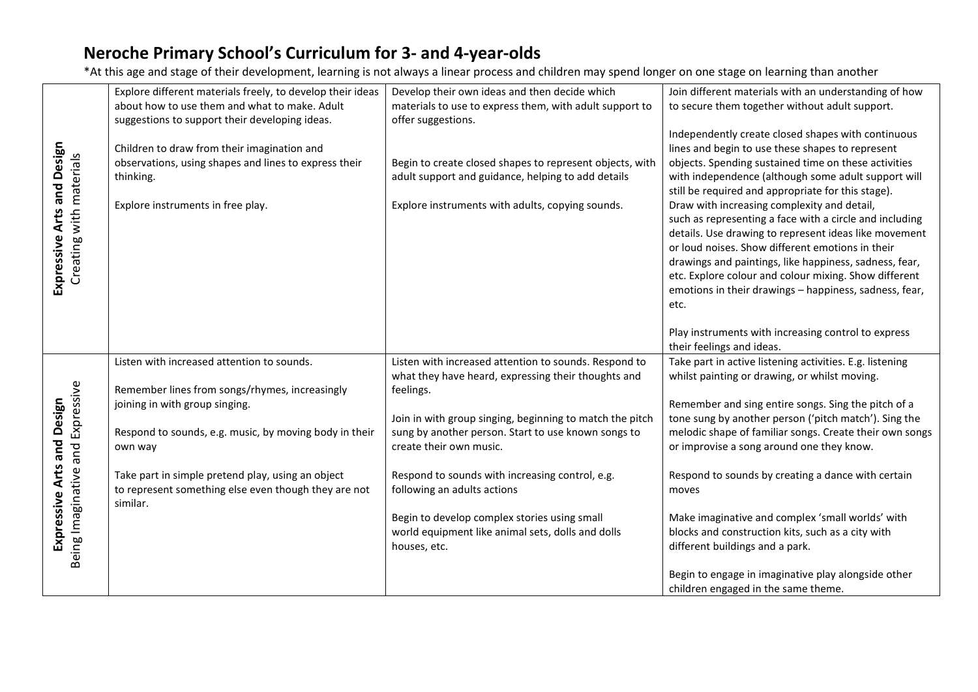|                                                                | Explore different materials freely, to develop their ideas<br>about how to use them and what to make. Adult<br>suggestions to support their developing ideas. | Develop their own ideas and then decide which<br>materials to use to express them, with adult support to<br>offer suggestions.                                     | Join different materials with an understanding of how<br>to secure them together without adult support.                                                                                                                                                                                                                                                                                                                                                                                                                                                                                                                                                                                 |  |
|----------------------------------------------------------------|---------------------------------------------------------------------------------------------------------------------------------------------------------------|--------------------------------------------------------------------------------------------------------------------------------------------------------------------|-----------------------------------------------------------------------------------------------------------------------------------------------------------------------------------------------------------------------------------------------------------------------------------------------------------------------------------------------------------------------------------------------------------------------------------------------------------------------------------------------------------------------------------------------------------------------------------------------------------------------------------------------------------------------------------------|--|
| Expressive Arts and Design<br>Creating with materials          | Children to draw from their imagination and<br>observations, using shapes and lines to express their<br>thinking.<br>Explore instruments in free play.        | Begin to create closed shapes to represent objects, with<br>adult support and guidance, helping to add details<br>Explore instruments with adults, copying sounds. | Independently create closed shapes with continuous<br>lines and begin to use these shapes to represent<br>objects. Spending sustained time on these activities<br>with independence (although some adult support will<br>still be required and appropriate for this stage).<br>Draw with increasing complexity and detail,<br>such as representing a face with a circle and including<br>details. Use drawing to represent ideas like movement<br>or loud noises. Show different emotions in their<br>drawings and paintings, like happiness, sadness, fear,<br>etc. Explore colour and colour mixing. Show different<br>emotions in their drawings - happiness, sadness, fear,<br>etc. |  |
|                                                                |                                                                                                                                                               |                                                                                                                                                                    | Play instruments with increasing control to express<br>their feelings and ideas.                                                                                                                                                                                                                                                                                                                                                                                                                                                                                                                                                                                                        |  |
|                                                                | Listen with increased attention to sounds.<br>Remember lines from songs/rhymes, increasingly                                                                  | Listen with increased attention to sounds. Respond to<br>what they have heard, expressing their thoughts and<br>feelings.                                          | Take part in active listening activities. E.g. listening<br>whilst painting or drawing, or whilst moving.                                                                                                                                                                                                                                                                                                                                                                                                                                                                                                                                                                               |  |
| Being Imaginative and Expressive<br>Expressive Arts and Design | joining in with group singing.                                                                                                                                | Join in with group singing, beginning to match the pitch                                                                                                           | Remember and sing entire songs. Sing the pitch of a<br>tone sung by another person ('pitch match'). Sing the                                                                                                                                                                                                                                                                                                                                                                                                                                                                                                                                                                            |  |
|                                                                | Respond to sounds, e.g. music, by moving body in their<br>own way                                                                                             | sung by another person. Start to use known songs to<br>create their own music.                                                                                     | melodic shape of familiar songs. Create their own songs<br>or improvise a song around one they know.                                                                                                                                                                                                                                                                                                                                                                                                                                                                                                                                                                                    |  |
|                                                                | Take part in simple pretend play, using an object<br>to represent something else even though they are not<br>similar.                                         | Respond to sounds with increasing control, e.g.<br>following an adults actions                                                                                     | Respond to sounds by creating a dance with certain<br>moves                                                                                                                                                                                                                                                                                                                                                                                                                                                                                                                                                                                                                             |  |
|                                                                |                                                                                                                                                               | Begin to develop complex stories using small<br>world equipment like animal sets, dolls and dolls<br>houses, etc.                                                  | Make imaginative and complex 'small worlds' with<br>blocks and construction kits, such as a city with<br>different buildings and a park.                                                                                                                                                                                                                                                                                                                                                                                                                                                                                                                                                |  |
|                                                                |                                                                                                                                                               |                                                                                                                                                                    | Begin to engage in imaginative play alongside other<br>children engaged in the same theme.                                                                                                                                                                                                                                                                                                                                                                                                                                                                                                                                                                                              |  |